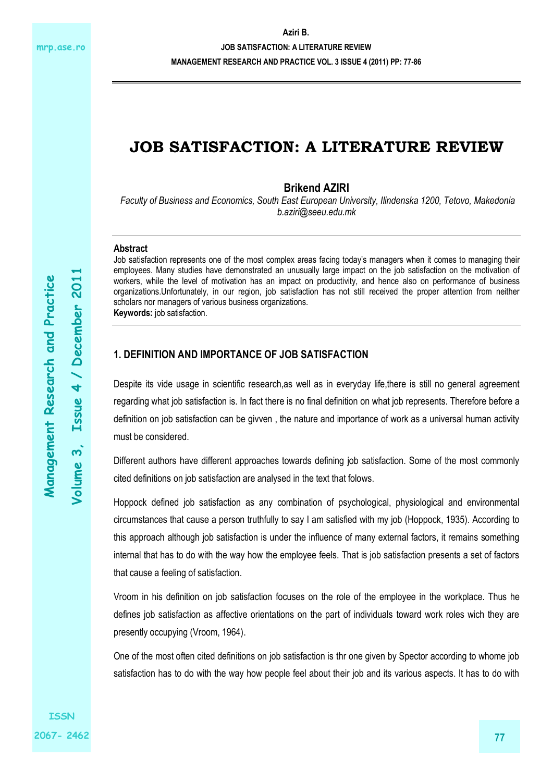**JOB SATISFACTION: A LITERATURE REVIEW** 

**MANAGEMENT RESEARCH AND PRACTICE VOL. 3 ISSUE 4 (2011) PP: 77-86** 

# **JOB SATISFACTION: A LITERATURE REVIEW**

**Brikend AZIRI** 

*Faculty of Business and Economics, South East European University, Ilindenska 1200, Tetovo, Makedonia b.aziri@seeu.edu.mk* 

### **Abstract**

Job satisfaction represents one of the most complex areas facing today's managers when it comes to managing their employees. Many studies have demonstrated an unusually large impact on the job satisfaction on the motivation of workers, while the level of motivation has an impact on productivity, and hence also on performance of business organizations.Unfortunately, in our region, job satisfaction has not still received the proper attention from neither scholars nor managers of various business organizations. **Keywords:** job satisfaction.

### **1. DEFINITION AND IMPORTANCE OF JOB SATISFACTION**

Despite its vide usage in scientific research,as well as in everyday life,there is still no general agreement regarding what job satisfaction is. In fact there is no final definition on what job represents. Therefore before a definition on job satisfaction can be givven , the nature and importance of work as a universal human activity must be considered.

Different authors have different approaches towards defining job satisfaction. Some of the most commonly cited definitions on job satisfaction are analysed in the text that folows.

Hoppock defined job satisfaction as any combination of psychological, physiological and environmental circumstances that cause a person truthfully to say I am satisfied with my job (Hoppock, 1935). According to this approach although job satisfaction is under the influence of many external factors, it remains something internal that has to do with the way how the employee feels. That is job satisfaction presents a set of factors that cause a feeling of satisfaction.

Vroom in his definition on job satisfaction focuses on the role of the employee in the workplace. Thus he defines job satisfaction as affective orientations on the part of individuals toward work roles wich they are presently occupying (Vroom, 1964).

One of the most often cited definitions on job satisfaction is thr one given by Spector according to whome job satisfaction has to do with the way how people feel about their job and its various aspects. It has to do with

**Volume 3, Issue 4 / December 2011** 

Volume 3.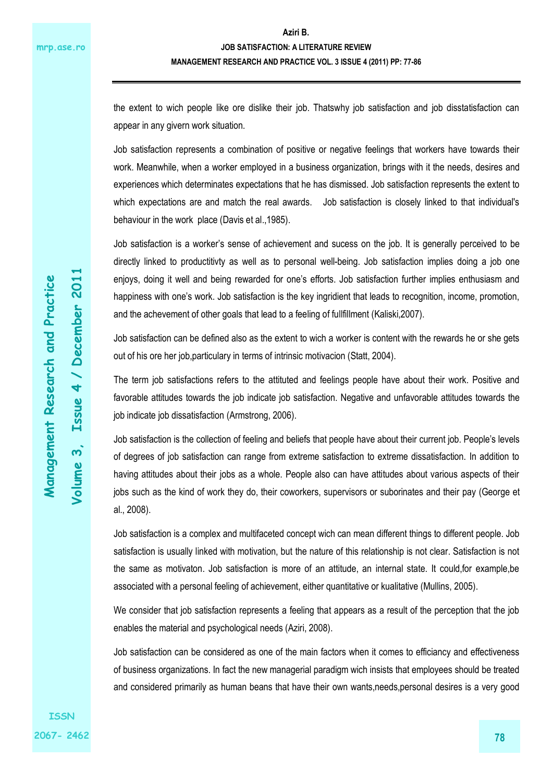the extent to wich people like ore dislike their job. Thatswhy job satisfaction and job disstatisfaction can appear in any givern work situation.

Job satisfaction represents a combination of positive or negative feelings that workers have towards their work. Meanwhile, when a worker employed in a business organization, brings with it the needs, desires and experiences which determinates expectations that he has dismissed. Job satisfaction represents the extent to which expectations are and match the real awards. Job satisfaction is closely linked to that individual's behaviour in the work place (Davis et al.,1985).

Job satisfaction is a worker's sense of achievement and sucess on the job. It is generally perceived to be directly linked to productitivty as well as to personal well-being. Job satisfaction implies doing a job one enjoys, doing it well and being rewarded for one's efforts. Job satisfaction further implies enthusiasm and happiness with one's work. Job satisfaction is the key ingridient that leads to recognition, income, promotion, and the achevement of other goals that lead to a feeling of fullfillment (Kaliski,2007).

Job satisfaction can be defined also as the extent to wich a worker is content with the rewards he or she gets out of his ore her job,particulary in terms of intrinsic motivacion (Statt, 2004).

The term job satisfactions refers to the attituted and feelings people have about their work. Positive and favorable attitudes towards the job indicate job satisfaction. Negative and unfavorable attitudes towards the job indicate job dissatisfaction (Armstrong, 2006).

Job satisfaction is the collection of feeling and beliefs that people have about their current job. People's levels of degrees of job satisfaction can range from extreme satisfaction to extreme dissatisfaction. In addition to having attitudes about their jobs as a whole. People also can have attitudes about various aspects of their jobs such as the kind of work they do, their coworkers, supervisors or suborinates and their pay (George et al., 2008).

Job satisfaction is a complex and multifaceted concept wich can mean different things to different people. Job satisfaction is usually linked with motivation, but the nature of this relationship is not clear. Satisfaction is not the same as motivaton. Job satisfaction is more of an attitude, an internal state. It could,for example,be associated with a personal feeling of achievement, either quantitative or kualitative (Mullins, 2005).

We consider that job satisfaction represents a feeling that appears as a result of the perception that the job enables the material and psychological needs (Aziri, 2008).

Job satisfaction can be considered as one of the main factors when it comes to efficiancy and effectiveness of business organizations. In fact the new managerial paradigm wich insists that employees should be treated and considered primarily as human beans that have their own wants,needs,personal desires is a very good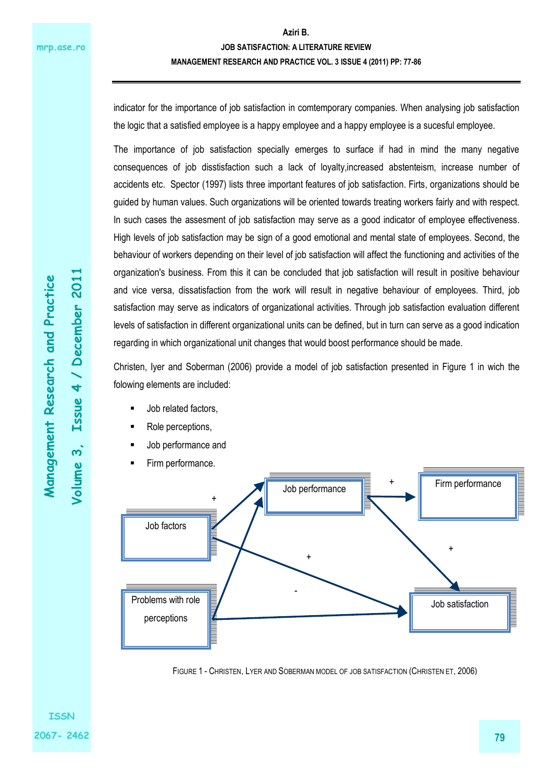indicator for the importance of job satisfaction in comtemporary companies. When analysing job satisfaction the logic that a satisfied employee is a happy employee and a happy employee is a sucesful employee.

The importance of job satisfaction specially emerges to surface if had in mind the many negative consequences of job disstisfaction such a lack of loyalty,increased abstenteism, increase number of accidents etc. Spector (1997) lists three important features of job satisfaction. Firts, organizations should be guided by human values. Such organizations will be oriented towards treating workers fairly and with respect. In such cases the assesment of job satisfaction may serve as a good indicator of employee effectiveness. High levels of job satisfaction may be sign of a good emotional and mental state of employees. Second, the behaviour of workers depending on their level of job satisfaction will affect the functioning and activities of the organization's business. From this it can be concluded that job satisfaction will result in positive behaviour and vice versa, dissatisfaction from the work will result in negative behaviour of employees. Third, job satisfaction may serve as indicators of organizational activities. Through job satisfaction evaluation different levels of satisfaction in different organizational units can be defined, but in turn can serve as a good indication regarding in which organizational unit changes that would boost performance should be made.

Christen, Iyer and Soberman (2006) provide a model of job satisfaction presented in Figure 1 in wich the folowing elements are included:

- Job related factors,
- Role perceptions,
- Job performance and
- Firm performance.



FIGURE 1 - CHRISTEN, LYER AND SOBERMAN MODEL OF JOB SATISFACTION (CHRISTEN ET, 2006)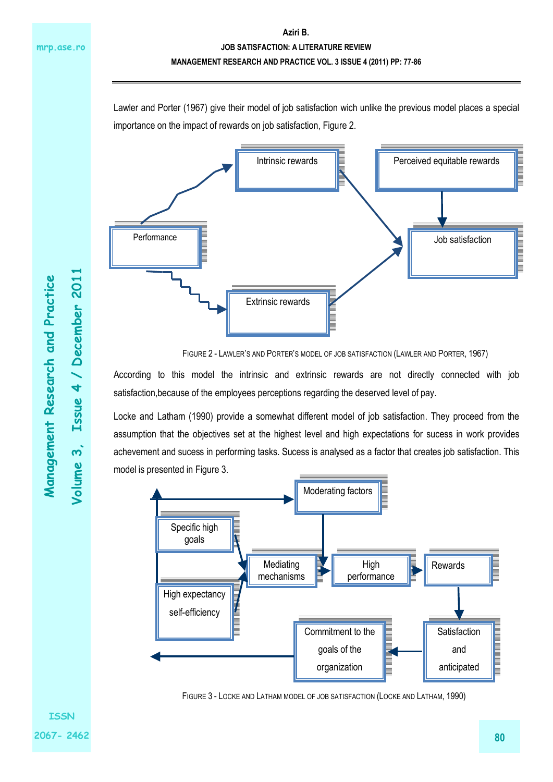Lawler and Porter (1967) give their model of job satisfaction wich unlike the previous model places a special importance on the impact of rewards on job satisfaction, Figure 2.



FIGURE 2 - LAWLER'S AND PORTER'S MODEL OF JOB SATISFACTION (LAWLER AND PORTER, 1967)

According to this model the intrinsic and extrinsic rewards are not directly connected with job satisfaction,because of the employees perceptions regarding the deserved level of pay.

Locke and Latham (1990) provide a somewhat different model of job satisfaction. They proceed from the assumption that the objectives set at the highest level and high expectations for sucess in work provides achevement and sucess in performing tasks. Sucess is analysed as a factor that creates job satisfaction. This model is presented in Figure 3.



FIGURE 3 - LOCKE AND LATHAM MODEL OF JOB SATISFACTION (LOCKE AND LATHAM, 1990)

**Volume 3, Issue 4 / December 2011** 

Volume 3,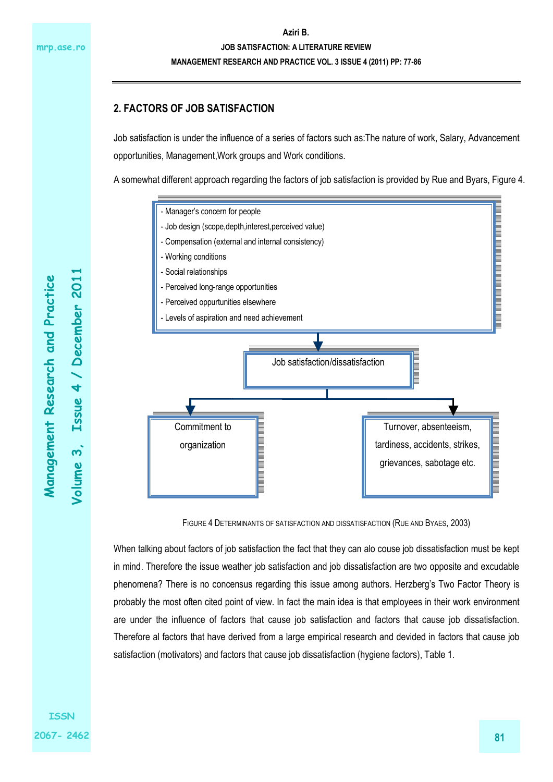## **2. FACTORS OF JOB SATISFACTION**

Job satisfaction is under the influence of a series of factors such as:The nature of work, Salary, Advancement opportunities, Management,Work groups and Work conditions.

A somewhat different approach regarding the factors of job satisfaction is provided by Rue and Byars, Figure 4.



FIGURE 4 DETERMINANTS OF SATISFACTION AND DISSATISFACTION (RUE AND BYAES, 2003)

When talking about factors of job satisfaction the fact that they can alo couse job dissatisfaction must be kept in mind. Therefore the issue weather job satisfaction and job dissatisfaction are two opposite and excudable phenomena? There is no concensus regarding this issue among authors. Herzberg's Two Factor Theory is probably the most often cited point of view. In fact the main idea is that employees in their work environment are under the influence of factors that cause job satisfaction and factors that cause job dissatisfaction. Therefore al factors that have derived from a large empirical research and devided in factors that cause job satisfaction (motivators) and factors that cause job dissatisfaction (hygiene factors), Table 1.

**Volume 3, Issue 4 / December 2011** 

Volume 3.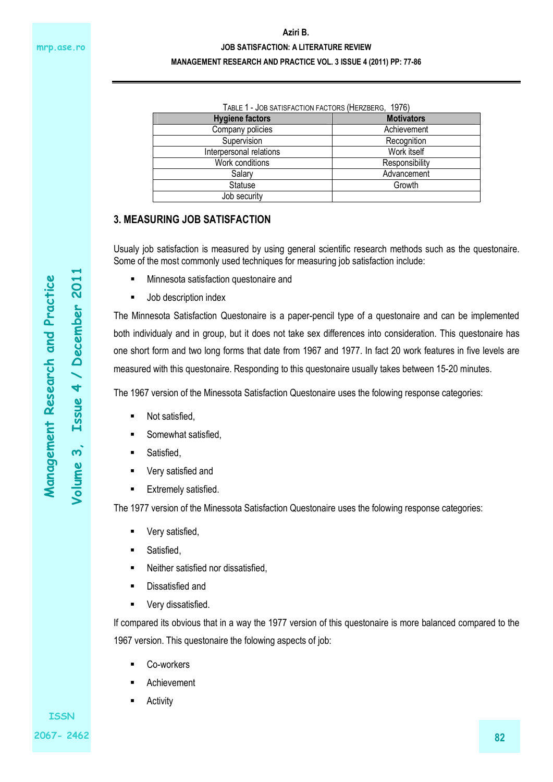#### **Aziri B.**

#### **JOB SATISFACTION: A LITERATURE REVIEW**

#### **MANAGEMENT RESEARCH AND PRACTICE VOL. 3 ISSUE 4 (2011) PP: 77-86**

| TABLE 1 - JOB SATISFACTION FACTORS (HERZBERG, 1976) |                   |
|-----------------------------------------------------|-------------------|
| <b>Hygiene factors</b>                              | <b>Motivators</b> |
| Company policies                                    | Achievement       |
| Supervision                                         | Recognition       |
| Interpersonal relations                             | Work itself       |
| Work conditions                                     | Responsibility    |
| Salary                                              | Advancement       |
| <b>Statuse</b>                                      | Growth            |
| Job security                                        |                   |

### **3. MEASURING JOB SATISFACTION**

Usualy job satisfaction is measured by using general scientific research methods such as the questonaire. Some of the most commonly used techniques for measuring job satisfaction include:

- Minnesota satisfaction questonaire and
- Job description index

The Minnesota Satisfaction Questonaire is a paper-pencil type of a questonaire and can be implemented both individualy and in group, but it does not take sex differences into consideration. This questonaire has one short form and two long forms that date from 1967 and 1977. In fact 20 work features in five levels are measured with this questonaire. Responding to this questonaire usually takes between 15-20 minutes.

The 1967 version of the Minessota Satisfaction Questonaire uses the folowing response categories:

- Not satisfied,
- Somewhat satisfied,
- Satisfied,
- Very satisfied and
- **Extremely satisfied.**

The 1977 version of the Minessota Satisfaction Questonaire uses the folowing response categories:

- Very satisfied,
- **Satisfied.**
- Neither satisfied nor dissatisfied.
- **Dissatisfied and**
- Very dissatisfied.

If compared its obvious that in a way the 1977 version of this questonaire is more balanced compared to the 1967 version. This questonaire the folowing aspects of job:

- Co-workers
- Achievement
- **Activity**

**ISSN 2067- 2462**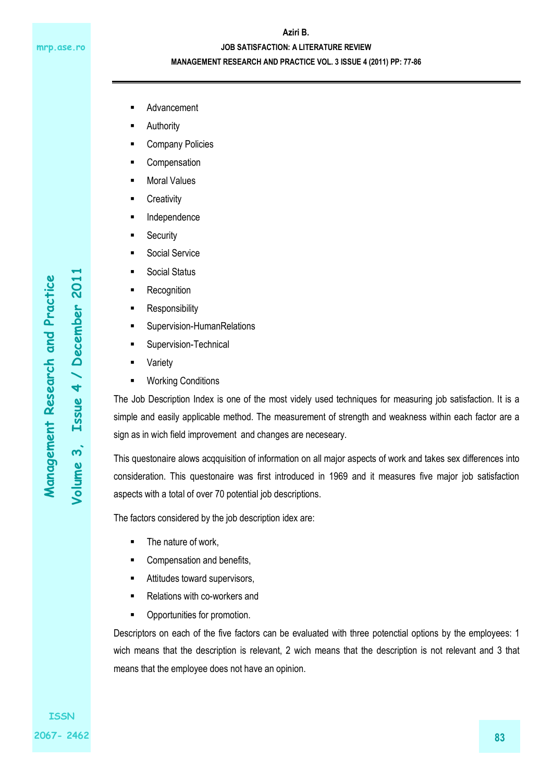### **Aziri B.**

### **JOB SATISFACTION: A LITERATURE REVIEW**

### **MANAGEMENT RESEARCH AND PRACTICE VOL. 3 ISSUE 4 (2011) PP: 77-86**

- Advancement
- Authority
- Company Policies
- **Compensation**
- Moral Values
- **Creativity**
- **Independence**
- **Security**
- Social Service
- Social Status
- Recognition
- **Responsibility**
- Supervision-HumanRelations
- Supervision-Technical
- Variety
- Working Conditions

The Job Description Index is one of the most videly used techniques for measuring job satisfaction. It is a simple and easily applicable method. The measurement of strength and weakness within each factor are a sign as in wich field improvement and changes are neceseary.

This questonaire alows acqquisition of information on all major aspects of work and takes sex differences into consideration. This questonaire was first introduced in 1969 and it measures five major job satisfaction aspects with a total of over 70 potential job descriptions.

The factors considered by the job description idex are:

- The nature of work,
- **EXECOMPERDIATE:** Compensation and benefits,
- **EXECUTE:** Attitudes toward supervisors,
- Relations with co-workers and
- **•** Opportunities for promotion.

Descriptors on each of the five factors can be evaluated with three potenctial options by the employees: 1 wich means that the description is relevant, 2 wich means that the description is not relevant and 3 that means that the employee does not have an opinion.

**Volume 3, Issue 4 / December 2011**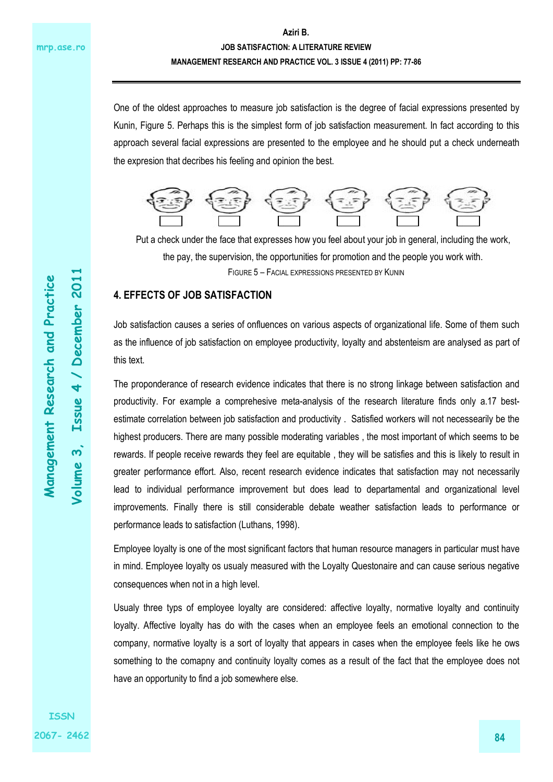One of the oldest approaches to measure job satisfaction is the degree of facial expressions presented by Kunin, Figure 5. Perhaps this is the simplest form of job satisfaction measurement. In fact according to this approach several facial expressions are presented to the employee and he should put a check underneath the expresion that decribes his feeling and opinion the best.



FIGURE 5 – FACIAL EXPRESSIONS PRESENTED BY KUNIN Put a check under the face that expresses how you feel about your job in general, including the work, the pay, the supervision, the opportunities for promotion and the people you work with.

### **4. EFFECTS OF JOB SATISFACTION**

Job satisfaction causes a series of onfluences on various aspects of organizational life. Some of them such as the influence of job satisfaction on employee productivity, loyalty and abstenteism are analysed as part of this text.

The proponderance of research evidence indicates that there is no strong linkage between satisfaction and productivity. For example a comprehesive meta-analysis of the research literature finds only a.17 bestestimate correlation between job satisfaction and productivity . Satisfied workers will not necessearily be the highest producers. There are many possible moderating variables , the most important of which seems to be rewards. If people receive rewards they feel are equitable , they will be satisfies and this is likely to result in greater performance effort. Also, recent research evidence indicates that satisfaction may not necessarily lead to individual performance improvement but does lead to departamental and organizational level improvements. Finally there is still considerable debate weather satisfaction leads to performance or performance leads to satisfaction (Luthans, 1998).

Employee loyalty is one of the most significant factors that human resource managers in particular must have in mind. Employee loyalty os usualy measured with the Loyalty Questonaire and can cause serious negative consequences when not in a high level.

Usualy three typs of employee loyalty are considered: affective loyalty, normative loyalty and continuity loyalty. Affective loyalty has do with the cases when an employee feels an emotional connection to the company, normative loyalty is a sort of loyalty that appears in cases when the employee feels like he ows something to the comapny and continuity loyalty comes as a result of the fact that the employee does not have an opportunity to find a job somewhere else.

**Volume 3, Issue 4 / December 2011** 

 $\overline{\bf{4}}$ 

**Essue** 

 $\boldsymbol{\mathsf{w}}$ 

Volume

/ December 201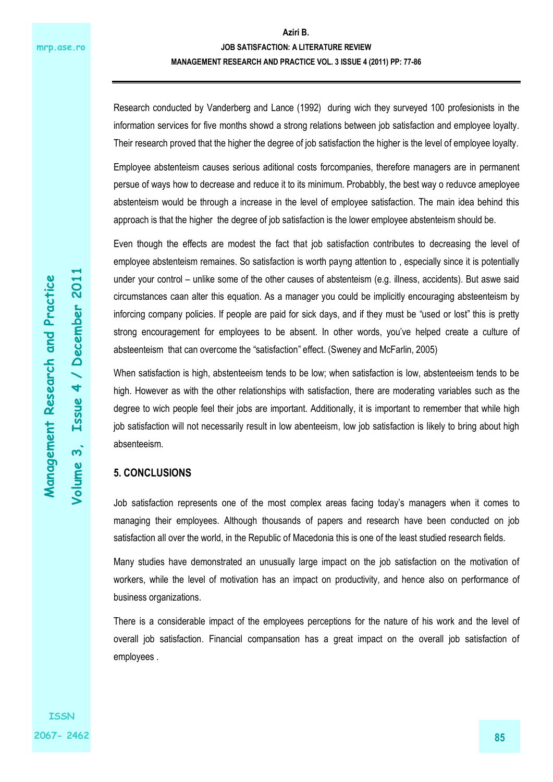Research conducted by Vanderberg and Lance (1992) during wich they surveyed 100 profesionists in the information services for five months showd a strong relations between job satisfaction and employee loyalty. Their research proved that the higher the degree of job satisfaction the higher is the level of employee loyalty.

Employee abstenteism causes serious aditional costs forcompanies, therefore managers are in permanent persue of ways how to decrease and reduce it to its minimum. Probabbly, the best way o reduvce ameployee abstenteism would be through a increase in the level of employee satisfaction. The main idea behind this approach is that the higher the degree of job satisfaction is the lower employee abstenteism should be.

Even though the effects are modest the fact that job satisfaction contributes to decreasing the level of employee abstenteism remaines. So satisfaction is worth payng attention to , especially since it is potentially under your control – unlike some of the other causes of abstenteism (e.g. illness, accidents). But aswe said circumstances caan alter this equation. As a manager you could be implicitly encouraging absteenteism by inforcing company policies. If people are paid for sick days, and if they must be "used or lost" this is pretty strong encouragement for employees to be absent. In other words, you've helped create a culture of absteenteism that can overcome the "satisfaction" effect. (Sweney and McFarlin, 2005)

When satisfaction is high, abstenteeism tends to be low; when satisfaction is low, abstenteeism tends to be high. However as with the other relationships with satisfaction, there are moderating variables such as the degree to wich people feel their jobs are important. Additionally, it is important to remember that while high job satisfaction will not necessarily result in low abenteeism, low job satisfaction is likely to bring about high absenteeism.

### **5. CONCLUSIONS**

Job satisfaction represents one of the most complex areas facing today's managers when it comes to managing their employees. Although thousands of papers and research have been conducted on job satisfaction all over the world, in the Republic of Macedonia this is one of the least studied research fields.

Many studies have demonstrated an unusually large impact on the job satisfaction on the motivation of workers, while the level of motivation has an impact on productivity, and hence also on performance of business organizations.

There is a considerable impact of the employees perceptions for the nature of his work and the level of overall job satisfaction. Financial compansation has a great impact on the overall job satisfaction of employees .

**Volume 3, Issue 4 / December 2011** 

 $\mathbf{\dot{s}}$ 

Volume